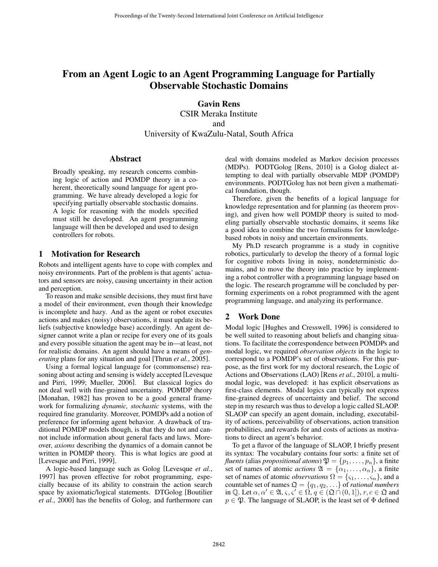# From an Agent Logic to an Agent Programming Language for Partially Observable Stochastic Domains

**Gavin Rens** CSIR Meraka Institute and University of KwaZulu-Natal, South Africa

# **Abstract**

Abstract Broadly speaking, my research concerns combining logic of action and POMDP theory in a coherent, theoretically sound language for agent programming. We have already developed a logic for specifying partially observable stochastic domains. A logic for reasoning with the models specified must still be developed. An agent programming language will then be developed and used to design controllers for robots.

# 1

Robots and intelligent agents have to cope with complex and noisy environments. Part of the problem is that agents' actuators and sensors are noisy, causing uncertainty in their action and perception.

To reason and make sensible decisions, they must first have a model of their environment, even though their knowledge is incomplete and hazy. And as the agent or robot executes actions and makes (noisy) observations, it must update its beliefs (subjective knowledge base) accordingly. An agent designer cannot write a plan or recipe for every one of its goals and every possible situation the agent may be in—at least, not for realistic domains. An agent should have a means of *generating* plans for any situation and goal [Thrun *et al.*, 2005].

Using a formal logical language for (commonsense) reasoning about acting and sensing is widely accepted [Levesque and Pirri, 1999; Mueller, 2006]. But classical logics do not deal well with fine-grained uncertainty. POMDP theory [Monahan, 1982] has proven to be a good general framework for formalizing *dynamic, stochastic* systems, with the required fine granularity. Moreover, POMDPs add a notion of preference for informing agent behavior. A drawback of traditional POMDP models though, is that they do not and cannot include information about general facts and laws. Moreover, *axioms* describing the dynamics of a domain cannot be written in POMDP theory. This is what logics are good at [Levesque and Pirri, 1999].

A logic-based language such as Golog [Levesque *et al.*, 1997] has proven effective for robot programming, especially because of its ability to constrain the action search space by axiomatic/logical statements. DTGolog [Boutilier *et al.*, 2000] has the benefits of Golog, and furthermore can deal with domains modeled as Markov decision processes (MDPs). PODTGolog [Rens, 2010] is a Golog dialect attempting to deal with partially observable MDP (POMDP) environments. PODTGolog has not been given a mathematical foundation, though.

Therefore, given the benefits of a logical language for knowledge representation and for planning (as theorem proving), and given how well POMDP theory is suited to modeling partially observable stochastic domains, it seems like a good idea to combine the two formalisms for knowledgebased robots in noisy and uncertain environments.

My Ph.D research programme is a study in cognitive robotics, particularly to develop the theory of a formal logic for cognitive robots living in noisy, nondeterministic domains, and to move the theory into practice by implementing a robot controller with a programming language based on the logic. The research programme will be concluded by performing experiments on a robot programmed with the agent programming language, and analyzing its performance.

## $\mathbf{2}$ **Work Done**

Modal logic [Hughes and Cresswell, 1996] is considered to be well suited to reasoning about beliefs and changing situations. To facilitate the correspondence between POMDPs and modal logic, we required *observation objects* in the logic to correspond to a POMDP's set of observations. For this purpose, as the first work for my doctoral research, the Logic of Actions and Observations (LAO) [Rens *et al.*, 2010], a multimodal logic, was developed: it has explicit observations as first-class elements. Modal logics can typically not express fine-grained degrees of uncertainty and belief. The second step in my research was thus to develop a logic called SLAOP. SLAOP can specify an agent domain, including, executability of actions, perceivability of observations, action transition probabilities, and rewards for and costs of actions as motivations to direct an agent's behavior.

To get a flavor of the language of SLAOP, I briefly present its syntax: The vocabulary contains four sorts: a finite set of *fluents* (alias *propositional atoms*)  $\mathfrak{P} = \{p_1, \ldots, p_n\}$ , a finite set of names of atomic *actions*  $\mathfrak{A} = {\alpha_1, \ldots, \alpha_n}$ , a finite set of names of atomic *observations*  $\Omega = \{\varsigma_1, \ldots, \varsigma_n\}$ , and a countable set of names  $\mathfrak{Q} = \{q_1, q_2, \ldots\}$  of *rational numbers* in Q. Let  $\alpha, \alpha' \in \mathfrak{A}, \varsigma, \varsigma' \in \Omega, q \in (\mathfrak{Q} \cap (0, 1]), r, c \in \mathfrak{Q}$  and  $p \in \mathfrak{P}$ . The language of SLAOP, is the least set of  $\Phi$  defined